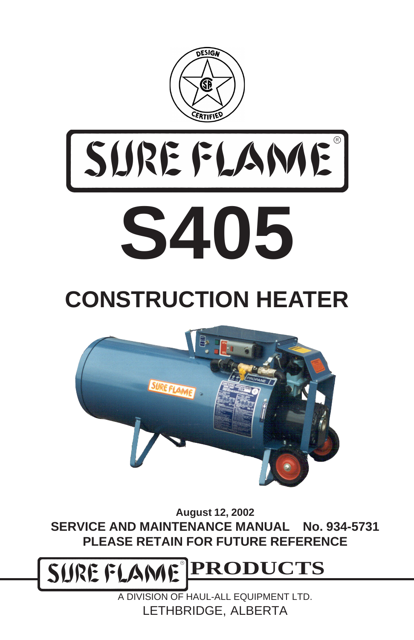



## **CONSTRUCTION HEATER**



**August 12, 2002 SERVICE AND MAINTENANCE MANUAL No. 934-5731 PLEASE RETAIN FOR FUTURE REFERENCE**

#### **PRODUCTS** SURE FLAME®

A DIVISION OF HAUL-ALL EQUIPMENT LTD. LETHBRIDGE, ALBERTA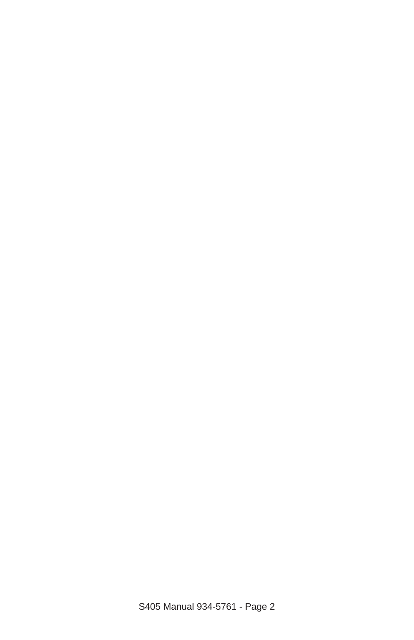S405 Manual 934-5761 - Page 2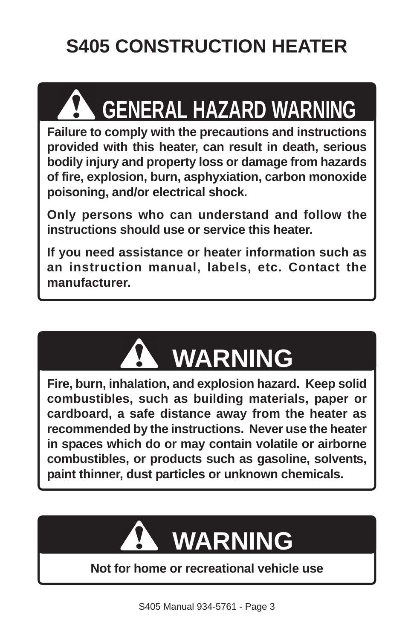## **S405 CONSTRUCTION HEATER**

# **GENERAL HAZARD WARNING**

**Failure to comply with the precautions and instructions provided with this heater, can result in death, serious bodily injury and property loss or damage from hazards of fire, explosion, burn, asphyxiation, carbon monoxide poisoning, and/or electrical shock.**

**Only persons who can understand and follow the instructions should use or service this heater.**

**If you need assistance or heater information such as an instruction manual, labels, etc. Contact the manufacturer.**



**Fire, burn, inhalation, and explosion hazard. Keep solid combustibles, such as building materials, paper or cardboard, a safe distance away from the heater as recommended by the instructions. Never use the heater in spaces which do or may contain volatile or airborne combustibles, or products such as gasoline, solvents, paint thinner, dust particles or unknown chemicals.**

# **WARNING**

#### **Not for home or recreational vehicle use**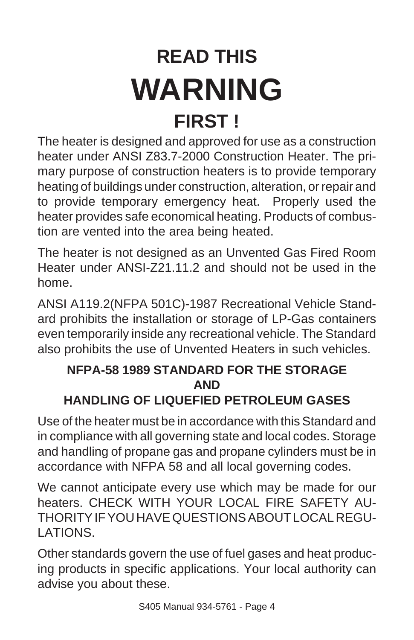# **READ THIS WARNING FIRST !**

The heater is designed and approved for use as a construction heater under ANSI Z83.7-2000 Construction Heater. The primary purpose of construction heaters is to provide temporary heating of buildings under construction, alteration, or repair and to provide temporary emergency heat. Properly used the heater provides safe economical heating. Products of combustion are vented into the area being heated.

The heater is not designed as an Unvented Gas Fired Room Heater under ANSI-Z21.11.2 and should not be used in the home.

ANSI A119.2(NFPA 501C)-1987 Recreational Vehicle Standard prohibits the installation or storage of LP-Gas containers even temporarily inside any recreational vehicle. The Standard also prohibits the use of Unvented Heaters in such vehicles.

#### **NFPA-58 1989 STANDARD FOR THE STORAGE AND HANDLING OF LIQUEFIED PETROLEUM GASES**

Use of the heater must be in accordance with this Standard and in compliance with all governing state and local codes. Storage and handling of propane gas and propane cylinders must be in accordance with NFPA 58 and all local governing codes.

We cannot anticipate every use which may be made for our heaters. CHECK WITH YOUR LOCAL FIRE SAFETY AU-THORITY IF YOU HAVE QUESTIONS ABOUT LOCAL REGU-LATIONS.

Other standards govern the use of fuel gases and heat producing products in specific applications. Your local authority can advise you about these.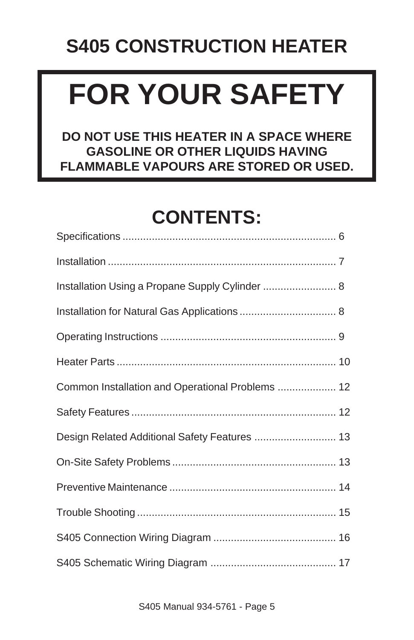#### **S405 CONSTRUCTION HEATER**

# **FOR YOUR SAFETY**

**DO NOT USE THIS HEATER IN A SPACE WHERE GASOLINE OR OTHER LIQUIDS HAVING FLAMMABLE VAPOURS ARE STORED OR USED.**

#### **CONTENTS:**

| Installation Using a Propane Supply Cylinder  8  |  |
|--------------------------------------------------|--|
|                                                  |  |
|                                                  |  |
|                                                  |  |
| Common Installation and Operational Problems  12 |  |
|                                                  |  |
| Design Related Additional Safety Features  13    |  |
|                                                  |  |
|                                                  |  |
|                                                  |  |
|                                                  |  |
|                                                  |  |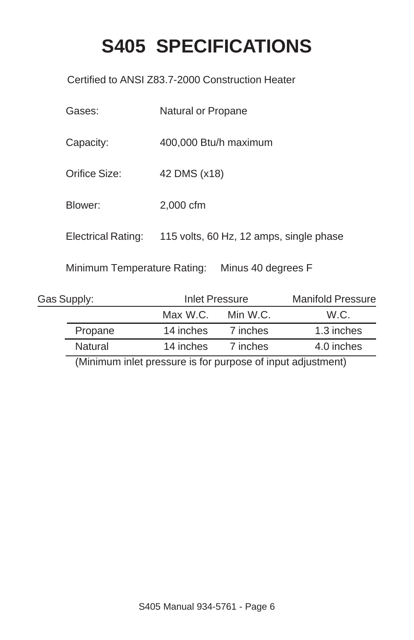#### **S405 SPECIFICATIONS**

Certified to ANSI Z83.7-2000 Construction Heater

| Gases:                      | Natural or Propane                      |
|-----------------------------|-----------------------------------------|
| Capacity:                   | 400,000 Btu/h maximum                   |
| Orifice Size:               | 42 DMS (x18)                            |
| Blower:                     | 2.000 cfm                               |
| <b>Electrical Rating:</b>   | 115 volts, 60 Hz, 12 amps, single phase |
| Minimum Temperature Rating: | Minus 40 degrees F                      |

| Gas Supply: | Inlet Pressure |          | <b>Manifold Pressure</b> |
|-------------|----------------|----------|--------------------------|
|             | Max W.C.       | Min W.C. | W.C.                     |
| Propane     | 14 inches      | 7 inches | 1.3 inches               |
| Natural     | 14 inches      | 7 inches | 4.0 inches               |

(Minimum inlet pressure is for purpose of input adjustment)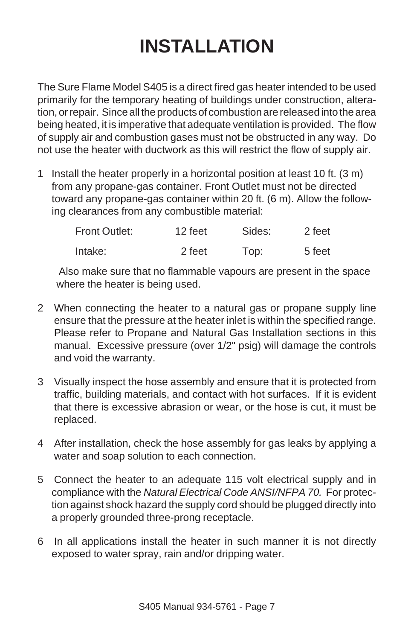#### **INSTALLATION**

The Sure Flame Model S405 is a direct fired gas heater intended to be used primarily for the temporary heating of buildings under construction, alteration, or repair. Since all the products of combustion are released into the area being heated, it is imperative that adequate ventilation is provided. The flow of supply air and combustion gases must not be obstructed in any way. Do not use the heater with ductwork as this will restrict the flow of supply air.

1 Install the heater properly in a horizontal position at least 10 ft. (3 m) from any propane-gas container. Front Outlet must not be directed toward any propane-gas container within 20 ft. (6 m). Allow the following clearances from any combustible material:

| Front Outlet: | 12 feet | Sides: | 2 feet |
|---------------|---------|--------|--------|
| Intake:       | 2 feet  | Top:   | 5 feet |

Also make sure that no flammable vapours are present in the space where the heater is being used.

- 2 When connecting the heater to a natural gas or propane supply line ensure that the pressure at the heater inlet is within the specified range. Please refer to Propane and Natural Gas Installation sections in this manual. Excessive pressure (over 1/2" psig) will damage the controls and void the warranty.
- 3 Visually inspect the hose assembly and ensure that it is protected from traffic, building materials, and contact with hot surfaces. If it is evident that there is excessive abrasion or wear, or the hose is cut, it must be replaced.
- 4 After installation, check the hose assembly for gas leaks by applying a water and soap solution to each connection.
- 5 Connect the heater to an adequate 115 volt electrical supply and in compliance with the *Natural Electrical Code ANSI/NFPA 70.* For protection against shock hazard the supply cord should be plugged directly into a properly grounded three-prong receptacle.
- 6 In all applications install the heater in such manner it is not directly exposed to water spray, rain and/or dripping water.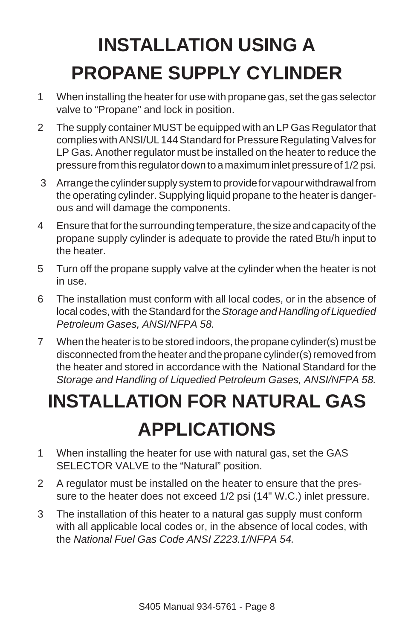## **INSTALLATION USING A PROPANE SUPPLY CYLINDER**

- 1 When installing the heater for use with propane gas, set the gas selector valve to "Propane" and lock in position.
- 2 The supply container MUST be equipped with an LP Gas Regulator that complies with ANSI/UL 144 Standard for Pressure Regulating Valves for LP Gas. Another regulator must be installed on the heater to reduce the pressure from this regulator down to a maximum inlet pressure of 1/2 psi.
- 3 Arrange the cylinder supply system to provide for vapour withdrawal from the operating cylinder. Supplying liquid propane to the heater is dangerous and will damage the components.
- 4 Ensure that for the surrounding temperature, the size and capacity of the propane supply cylinder is adequate to provide the rated Btu/h input to the heater.
- 5 Turn off the propane supply valve at the cylinder when the heater is not in use.
- 6 The installation must conform with all local codes, or in the absence of local codes, with the Standard for the *Storage and Handling of Liquedied Petroleum Gases, ANSI/NFPA 58.*
- 7 When the heater is to be stored indoors, the propane cylinder(s) must be disconnected from the heater and the propane cylinder(s) removed from the heater and stored in accordance with the National Standard for the *Storage and Handling of Liquedied Petroleum Gases, ANSI/NFPA 58.*

## **INSTALLATION FOR NATURAL GAS APPLICATIONS**

- 1 When installing the heater for use with natural gas, set the GAS SELECTOR VALVE to the "Natural" position.
- 2 A regulator must be installed on the heater to ensure that the pressure to the heater does not exceed 1/2 psi (14" W.C.) inlet pressure.
- 3 The installation of this heater to a natural gas supply must conform with all applicable local codes or, in the absence of local codes, with the *National Fuel Gas Code ANSI Z223.1/NFPA 54.*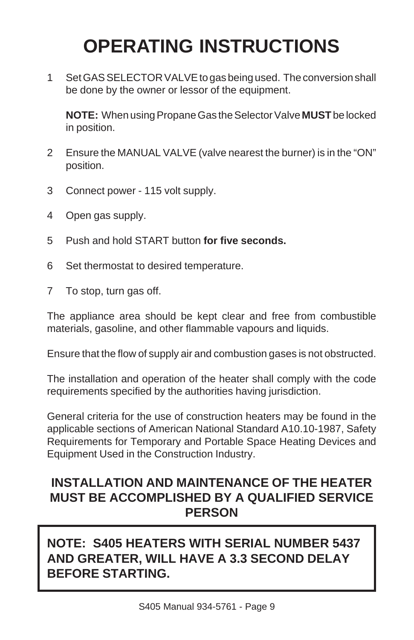#### **OPERATING INSTRUCTIONS**

1 Set GAS SELECTOR VALVE to gas being used. The conversion shall be done by the owner or lessor of the equipment.

**NOTE:** When using Propane Gas the Selector Valve **MUST** be locked in position.

- 2 Ensure the MANUAL VALVE (valve nearest the burner) is in the "ON" position.
- 3 Connect power 115 volt supply.
- 4 Open gas supply.
- 5 Push and hold START button **for five seconds.**
- 6 Set thermostat to desired temperature.
- 7 To stop, turn gas off.

The appliance area should be kept clear and free from combustible materials, gasoline, and other flammable vapours and liquids.

Ensure that the flow of supply air and combustion gases is not obstructed.

The installation and operation of the heater shall comply with the code requirements specified by the authorities having jurisdiction.

General criteria for the use of construction heaters may be found in the applicable sections of American National Standard A10.10-1987, Safety Requirements for Temporary and Portable Space Heating Devices and Equipment Used in the Construction Industry.

#### **INSTALLATION AND MAINTENANCE OF THE HEATER MUST BE ACCOMPLISHED BY A QUALIFIED SERVICE PERSON**

#### **NOTE: S405 HEATERS WITH SERIAL NUMBER 5437 AND GREATER, WILL HAVE A 3.3 SECOND DELAY BEFORE STARTING.**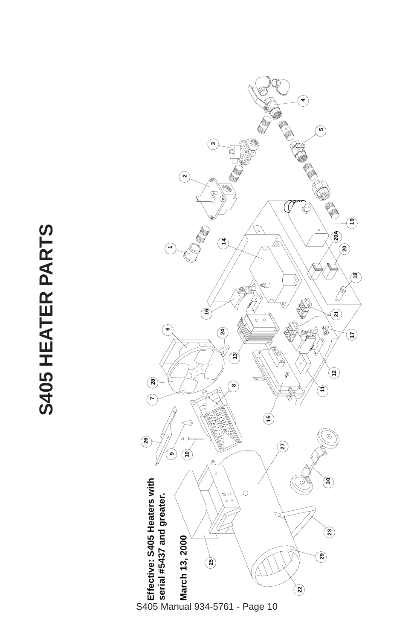# S405 HEATER PARTS **S405 HEATER PARTS**

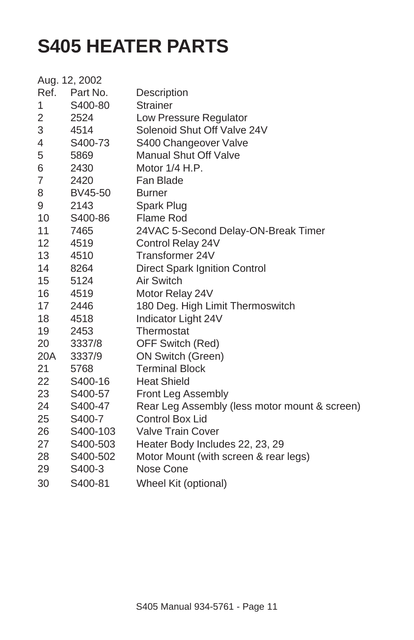#### **S405 HEATER PARTS**

|                | Aug. 12, 2002 |                                               |
|----------------|---------------|-----------------------------------------------|
| Ref.           | Part No.      | Description                                   |
| 1              | S400-80       | <b>Strainer</b>                               |
| $\mathbf{2}$   | 2524          | Low Pressure Regulator                        |
| 3              | 4514          | Solenoid Shut Off Valve 24V                   |
| 4              | S400-73       | S400 Changeover Valve                         |
| 5              | 5869          | <b>Manual Shut Off Valve</b>                  |
| 6              | 2430          | Motor 1/4 H.P.                                |
| $\overline{7}$ | 2420          | Fan Blade                                     |
| 8              | BV45-50       | <b>Burner</b>                                 |
| 9              | 2143          | Spark Plug                                    |
| 10             | S400-86       | Flame Rod                                     |
| 11             | 7465          | 24VAC 5-Second Delay-ON-Break Timer           |
| 12             | 4519          | Control Relay 24V                             |
| 13             | 4510          | Transformer 24V                               |
| 14             | 8264          | <b>Direct Spark Ignition Control</b>          |
| 15             | 5124          | Air Switch                                    |
| 16             | 4519          | Motor Relay 24V                               |
| 17             | 2446          | 180 Deg. High Limit Thermoswitch              |
| 18             | 4518          | Indicator Light 24V                           |
| 19             | 2453          | Thermostat                                    |
| 20             | 3337/8        | OFF Switch (Red)                              |
| 20A            | 3337/9        | ON Switch (Green)                             |
| 21             | 5768          | <b>Terminal Block</b>                         |
| 22             | S400-16       | <b>Heat Shield</b>                            |
| 23             | S400-57       | Front Leg Assembly                            |
| 24             | S400-47       | Rear Leg Assembly (less motor mount & screen) |
| 25             | S400-7        | <b>Control Box Lid</b>                        |
| 26             | S400-103      | <b>Valve Train Cover</b>                      |
| 27             | S400-503      | Heater Body Includes 22, 23, 29               |
| 28             | S400-502      | Motor Mount (with screen & rear legs)         |
| 29             | S400-3        | Nose Cone                                     |
| 30             | S400-81       | Wheel Kit (optional)                          |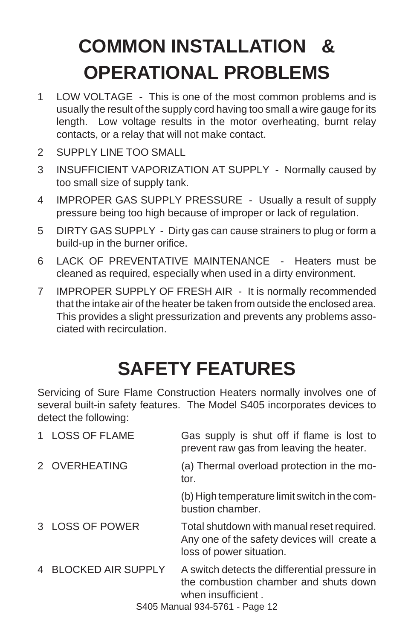## **COMMON INSTALLATION & OPERATIONAL PROBLEMS**

- 1 LOW VOLTAGE This is one of the most common problems and is usually the result of the supply cord having too small a wire gauge for its length. Low voltage results in the motor overheating, burnt relay contacts, or a relay that will not make contact.
- 2 SUPPLY LINE TOO SMALL
- 3 INSUFFICIENT VAPORIZATION AT SUPPLY Normally caused by too small size of supply tank.
- 4 IMPROPER GAS SUPPLY PRESSURE Usually a result of supply pressure being too high because of improper or lack of regulation.
- 5 DIRTY GAS SUPPLY Dirty gas can cause strainers to plug or form a build-up in the burner orifice.
- 6 LACK OF PREVENTATIVE MAINTENANCE Heaters must be cleaned as required, especially when used in a dirty environment.
- 7 IMPROPER SUPPLY OF FRESH AIR It is normally recommended that the intake air of the heater be taken from outside the enclosed area. This provides a slight pressurization and prevents any problems associated with recirculation.

#### **SAFETY FEATURES**

Servicing of Sure Flame Construction Heaters normally involves one of several built-in safety features. The Model S405 incorporates devices to detect the following:

| 1 LOSS OF FLAME      | Gas supply is shut off if flame is lost to<br>prevent raw gas from leaving the heater.                                |
|----------------------|-----------------------------------------------------------------------------------------------------------------------|
| 2 OVERHEATING        | (a) Thermal overload protection in the mo-<br>tor.                                                                    |
|                      | (b) High temperature limit switch in the com-<br>bustion chamber.                                                     |
| 3 LOSS OF POWER      | Total shutdown with manual reset required.<br>Any one of the safety devices will create a<br>loss of power situation. |
| 4 BLOCKED AIR SUPPLY | A switch detects the differential pressure in<br>the combustion chamber and shuts down<br>when insufficient.          |
|                      | S405 Manual 934-5761 - Page 12                                                                                        |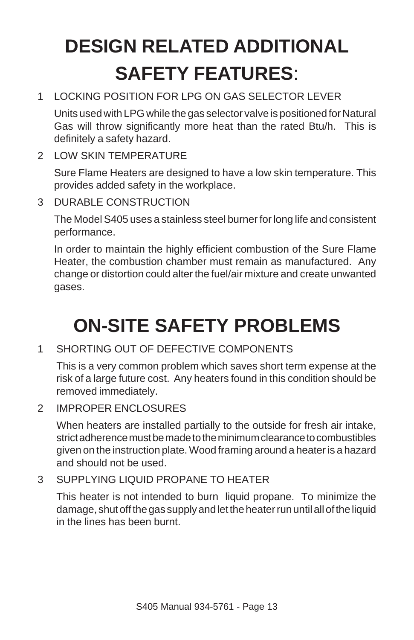## **DESIGN RELATED ADDITIONAL SAFETY FEATURES**:

1 LOCKING POSITION FOR LPG ON GAS SELECTOR LEVER

Units used with LPG while the gas selector valve is positioned for Natural Gas will throw significantly more heat than the rated Btu/h. This is definitely a safety hazard.

2 LOW SKIN TEMPERATURE

Sure Flame Heaters are designed to have a low skin temperature. This provides added safety in the workplace.

3 DURABLE CONSTRUCTION

The Model S405 uses a stainless steel burner for long life and consistent performance.

In order to maintain the highly efficient combustion of the Sure Flame Heater, the combustion chamber must remain as manufactured. Any change or distortion could alter the fuel/air mixture and create unwanted gases.

### **ON-SITE SAFETY PROBLEMS**

1 SHORTING OUT OF DEFECTIVE COMPONENTS

This is a very common problem which saves short term expense at the risk of a large future cost. Any heaters found in this condition should be removed immediately.

2 IMPROPER ENCLOSURES

When heaters are installed partially to the outside for fresh air intake, strict adherence must be made to the minimum clearance to combustibles given on the instruction plate. Wood framing around a heater is a hazard and should not be used.

3 SUPPLYING LIQUID PROPANE TO HEATER

This heater is not intended to burn liquid propane. To minimize the damage, shut off the gas supply and let the heater run until all of the liquid in the lines has been burnt.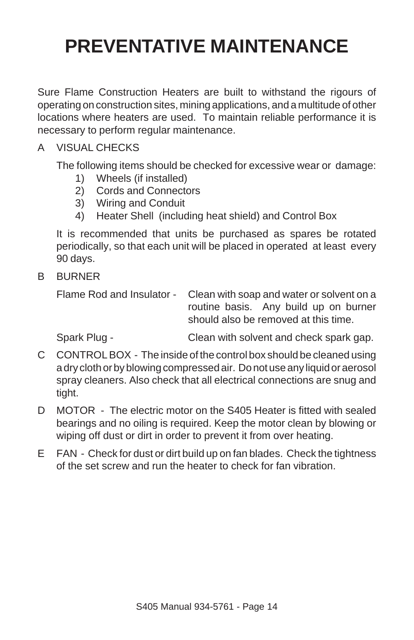#### **PREVENTATIVE MAINTENANCE**

Sure Flame Construction Heaters are built to withstand the rigours of operating on construction sites, mining applications, and a multitude of other locations where heaters are used. To maintain reliable performance it is necessary to perform regular maintenance.

#### A VISUAL CHECKS

The following items should be checked for excessive wear or damage:

- 1) Wheels (if installed)
- 2) Cords and Connectors
- 3) Wiring and Conduit
- 4) Heater Shell (including heat shield) and Control Box

It is recommended that units be purchased as spares be rotated periodically, so that each unit will be placed in operated at least every 90 days.

B BURNER

Flame Rod and Insulator - Clean with soap and water or solvent on a routine basis. Any build up on burner should also be removed at this time.

Spark Plug - Clean with solvent and check spark gap.

- C CONTROL BOX The inside of the control box should be cleaned using a dry cloth or by blowing compressed air. Do not use any liquid or aerosol spray cleaners. Also check that all electrical connections are snug and tight.
- D MOTOR The electric motor on the S405 Heater is fitted with sealed bearings and no oiling is required. Keep the motor clean by blowing or wiping off dust or dirt in order to prevent it from over heating.
- E FAN Check for dust or dirt build up on fan blades. Check the tightness of the set screw and run the heater to check for fan vibration.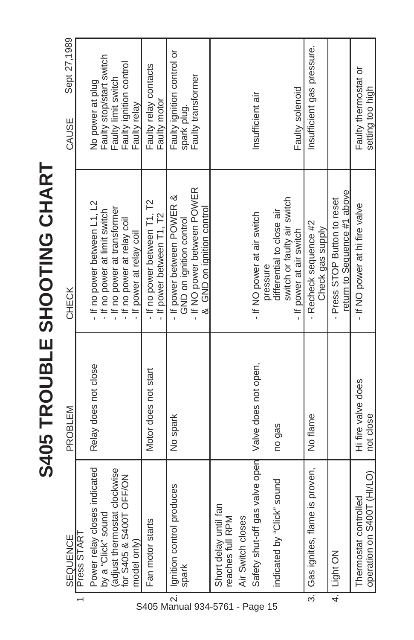|                          | SEQUENCE                                                | PROBLEM              | <b>CHECK</b>                                              | Sept 27,1989<br>CAUSE                                                      |  |
|--------------------------|---------------------------------------------------------|----------------------|-----------------------------------------------------------|----------------------------------------------------------------------------|--|
|                          | Press STAR <sup>®</sup>                                 |                      |                                                           |                                                                            |  |
|                          | indicated<br>Power relay closes<br>by a "Click" sound   | Relay does not close | - If no power between L1, L2                              | No power at plug                                                           |  |
|                          |                                                         |                      | - If no power at limit switch                             | Faulty stop/start switch<br>Faulty limit switch<br>Faulty ignition control |  |
|                          | (adjust thermostat clockwise<br>for S405 & S400T OFF/ON |                      | - If no power at transformer                              |                                                                            |  |
|                          |                                                         |                      | - If no power at relay coil                               |                                                                            |  |
|                          | model only)                                             |                      | - If power at relay coil                                  | Faulty relay                                                               |  |
|                          | Fan motor starts                                        | Motor does not start | - If no power between T1, T2<br>- If power between T1, T2 | Faulty relay contacts<br>Faulty motor                                      |  |
|                          |                                                         |                      |                                                           |                                                                            |  |
| $\frac{1}{2}$            | Ignition control produces                               | No spark             | - If power between POWER &                                | Faulty ignition control or                                                 |  |
|                          | spark                                                   |                      | GND on ignition control                                   |                                                                            |  |
|                          |                                                         |                      | - If NO power between POWER<br>& GND on ignition control  | spark plug.<br>Faulty transformer                                          |  |
|                          | Short delay until far                                   |                      |                                                           |                                                                            |  |
|                          | reaches full RPM                                        |                      |                                                           |                                                                            |  |
|                          | Air Switch closes                                       |                      |                                                           |                                                                            |  |
|                          | valve open<br>Safety shut-off gas                       | Valve does not open, | - If NO power at air switch                               | Insufficient air                                                           |  |
|                          |                                                         |                      | pressure                                                  |                                                                            |  |
|                          | sound<br>indicated by "Click"                           | no gas               | differential to close air                                 |                                                                            |  |
|                          |                                                         |                      | switch or faulty air switch                               |                                                                            |  |
|                          |                                                         |                      | - If power at air switch                                  | Faulty solenoid                                                            |  |
| $\overline{\mathcal{E}}$ | Gas ignites, flame is proven,                           | No flame             | Recheck sequence #2                                       | Insufficient gas pressure.                                                 |  |
|                          |                                                         |                      | Check gas supply                                          |                                                                            |  |
| $\overline{4}$           | Light ON                                                |                      | Press STOP Button to reset                                |                                                                            |  |
|                          |                                                         |                      | eturn to Sequence #1 above                                |                                                                            |  |
|                          | Thermostat controlled<br>operation on S400T (HI/LO)     | Hi fire valve does   | - If NO power at hi fire valve                            | Faulty thermostat or                                                       |  |
|                          |                                                         | not close            |                                                           | setting too high                                                           |  |

S405 TROUBLE SHOOTING CHART **S405 TROUBLE SHOOTING CHART**

S405 Manual 934-5761 - Page 15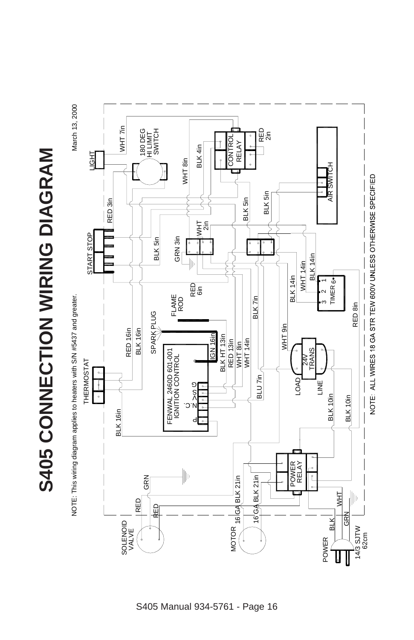S405 CONNECTION WIRING DIAGRAM **S405 CONNECTION WIRING DIAGRAM**